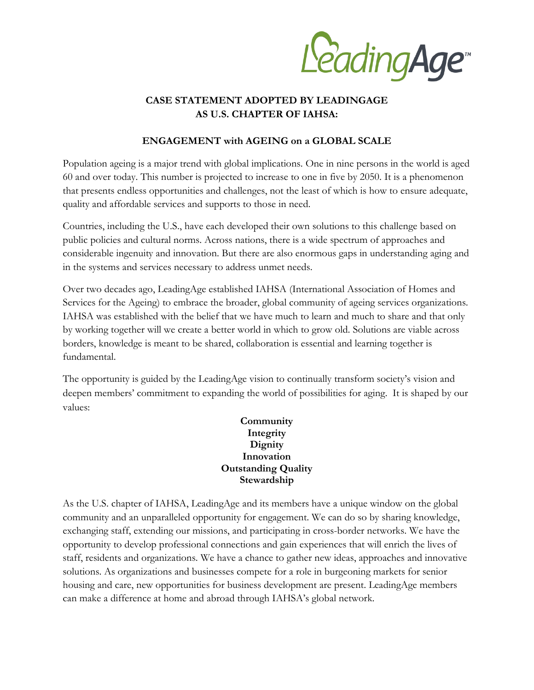LeadingAge<sup>®</sup>

## **CASE STATEMENT ADOPTED BY LEADINGAGE AS U.S. CHAPTER OF IAHSA:**

## **ENGAGEMENT with AGEING on a GLOBAL SCALE**

Population ageing is a major trend with global implications. One in nine persons in the world is aged 60 and over today. This number is projected to increase to one in five by 2050. It is a phenomenon that presents endless opportunities and challenges, not the least of which is how to ensure adequate, quality and affordable services and supports to those in need.

Countries, including the U.S., have each developed their own solutions to this challenge based on public policies and cultural norms. Across nations, there is a wide spectrum of approaches and considerable ingenuity and innovation. But there are also enormous gaps in understanding aging and in the systems and services necessary to address unmet needs.

Over two decades ago, LeadingAge established IAHSA (International Association of Homes and Services for the Ageing) to embrace the broader, global community of ageing services organizations. IAHSA was established with the belief that we have much to learn and much to share and that only by working together will we create a better world in which to grow old. Solutions are viable across borders, knowledge is meant to be shared, collaboration is essential and learning together is fundamental.

The opportunity is guided by the LeadingAge vision to continually transform society's vision and deepen members' commitment to expanding the world of possibilities for aging. It is shaped by our values:

## **Community Integrity Dignity Innovation Outstanding Quality Stewardship**

As the U.S. chapter of IAHSA, LeadingAge and its members have a unique window on the global community and an unparalleled opportunity for engagement. We can do so by sharing knowledge, exchanging staff, extending our missions, and participating in cross-border networks. We have the opportunity to develop professional connections and gain experiences that will enrich the lives of staff, residents and organizations. We have a chance to gather new ideas, approaches and innovative solutions. As organizations and businesses compete for a role in burgeoning markets for senior housing and care, new opportunities for business development are present. LeadingAge members can make a difference at home and abroad through IAHSA's global network.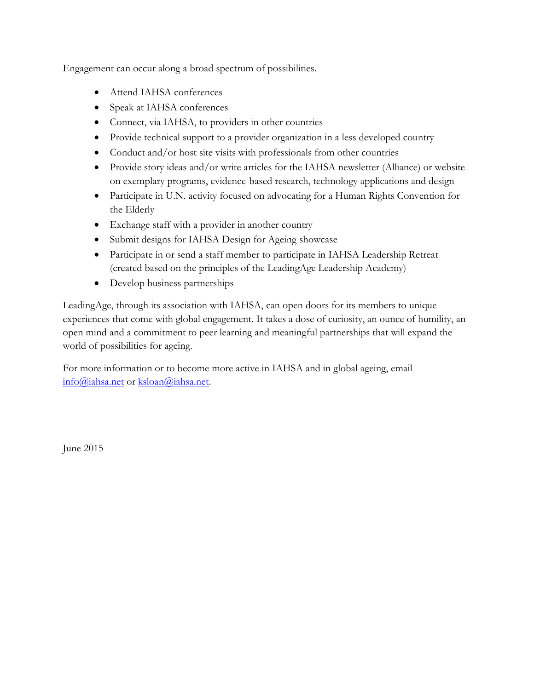Engagement can occur along a broad spectrum of possibilities.

- Attend IAHSA conferences
- Speak at IAHSA conferences
- Connect, via IAHSA, to providers in other countries
- Provide technical support to a provider organization in a less developed country
- Conduct and/or host site visits with professionals from other countries
- Provide story ideas and/or write articles for the IAHSA newsletter (Alliance) or website on exemplary programs, evidence-based research, technology applications and design
- Participate in U.N. activity focused on advocating for a Human Rights Convention for the Elderly
- Exchange staff with a provider in another country
- Submit designs for IAHSA Design for Ageing showcase
- Participate in or send a staff member to participate in IAHSA Leadership Retreat (created based on the principles of the LeadingAge Leadership Academy)
- Develop business partnerships

LeadingAge, through its association with IAHSA, can open doors for its members to unique experiences that come with global engagement. It takes a dose of curiosity, an ounce of humility, an open mind and a commitment to peer learning and meaningful partnerships that will expand the world of possibilities for ageing.

For more information or to become more active in IAHSA and in global ageing, email [info@iahsa.net](mailto:info@iahsa.net) or [ksloan@iahsa.net.](mailto:ksloan@iahsa.net)

June 2015